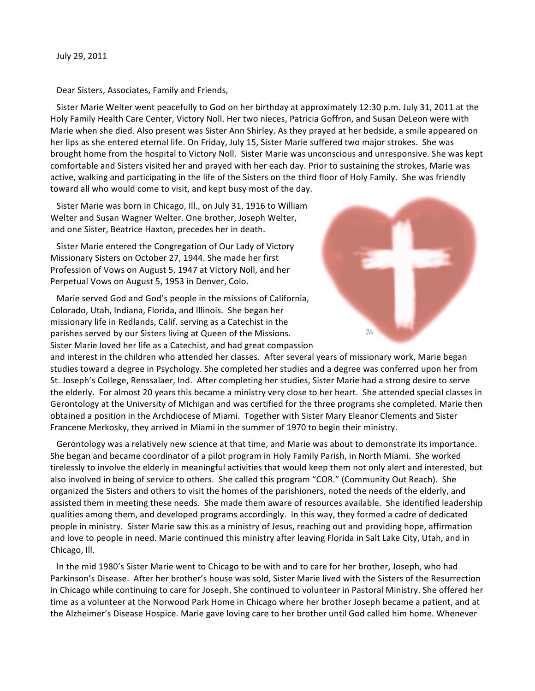Dear Sisters, Associates, Family and Friends,

Sister Marie Welter went peacefully to God on her birthday at approximately 12:30 p.m. July 31, 2011 at the Holy Family Health Care Center, Victory Noll. Her two nieces, Patricia Goffron, and Susan DeLeon were with Marie when she died. Also present was Sister Ann Shirley. As they prayed at her bedside, a smile appeared on her lips as she entered eternal life. On Friday, July 15, Sister Marie suffered two major strokes. She was brought home from the hospital to Victory Noll. Sister Marie was unconscious and unresponsive. She was kept comfortable and Sisters visited her and prayed with her each day. Prior to sustaining the strokes, Marie was active, walking and participating in the life of the Sisters on the third floor of Holy Family. She was friendly toward all who would come to visit, and kept busy most of the day.

Sister Marie was born in Chicago, Ill., on July 31, 1916 to William Welter and Susan Wagner Welter. One brother, Joseph Welter, and one Sister, Beatrice Haxton, precedes her in death.

Sister Marie entered the Congregation of Our Lady of Victory Missionary Sisters on October 27, 1944. She made her first Profession of Vows on August 5, 1947 at Victory Noll, and her Perpetual Vows on August 5, 1953 in Denver, Colo.

Marie served God and God's people in the missions of California, Colorado, Utah, Indiana, Florida, and Illinois. She began her missionary life in Redlands, Calif. serving as a Catechist in the parishes served by our Sisters living at Queen of the Missions. Sister Marie loved her life as a Catechist, and had great compassion



and interest in the children who attended her classes. After several years of missionary work, Marie began studies toward a degree in Psychology. She completed her studies and a degree was conferred upon her from St. Joseph's College, Renssalaer, Ind. After completing her studies, Sister Marie had a strong desire to serve the elderly. For almost 20 years this became a ministry very close to her heart. She attended special classes in Gerontology at the University of Michigan and was certified for the three programs she completed. Marie then obtained a position in the Archdiocese of Miami. Together with Sister Mary Eleanor Clements and Sister Francene Merkosky, they arrived in Miami in the summer of 1970 to begin their ministry.

Gerontology was a relatively new science at that time, and Marie was about to demonstrate its importance. She began and became coordinator of a pilot program in Holy Family Parish, in North Miami. She worked tirelessly to involve the elderly in meaningful activities that would keep them not only alert and interested, but also involved in being of service to others. She called this program "COR." (Community Out Reach). She organized the Sisters and others to visit the homes of the parishioners, noted the needs of the elderly, and assisted them in meeting these needs. She made them aware of resources available. She identified leadership qualities among them, and developed programs accordingly. In this way, they formed a cadre of dedicated people in ministry. Sister Marie saw this as a ministry of Jesus, reaching out and providing hope, affirmation and love to people in need. Marie continued this ministry after leaving Florida in Salt Lake City, Utah, and in Chicago, Ill.

In the mid 1980's Sister Marie went to Chicago to be with and to care for her brother, Joseph, who had Parkinson's Disease. After her brother's house was sold, Sister Marie lived with the Sisters of the Resurrection in Chicago while continuing to care for Joseph. She continued to volunteer in Pastoral Ministry. She offered her time as a volunteer at the Norwood Park Home in Chicago where her brother Joseph became a patient, and at the Alzheimer's Disease Hospice. Marie gave loving care to her brother until God called him home. Whenever